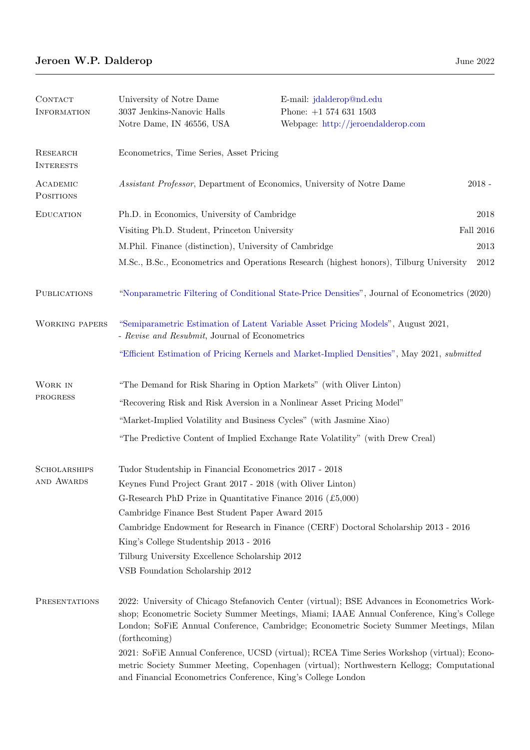| CONTACT<br><b>INFORMATION</b>       | University of Notre Dame<br>3037 Jenkins-Nanovic Halls<br>Notre Dame, IN 46556, USA                                                                                                                                                                                                                 | E-mail: jdalderop@nd.edu<br>Phone: $+1$ 574 631 1503<br>Webpage: http://jeroendalderop.com |           |  |  |
|-------------------------------------|-----------------------------------------------------------------------------------------------------------------------------------------------------------------------------------------------------------------------------------------------------------------------------------------------------|--------------------------------------------------------------------------------------------|-----------|--|--|
| <b>RESEARCH</b><br><b>INTERESTS</b> | Econometrics, Time Series, Asset Pricing                                                                                                                                                                                                                                                            |                                                                                            |           |  |  |
| ACADEMIC<br>POSITIONS               | $2018 -$<br>Assistant Professor, Department of Economics, University of Notre Dame                                                                                                                                                                                                                  |                                                                                            |           |  |  |
| <b>EDUCATION</b>                    | Ph.D. in Economics, University of Cambridge                                                                                                                                                                                                                                                         |                                                                                            |           |  |  |
|                                     | Visiting Ph.D. Student, Princeton University                                                                                                                                                                                                                                                        |                                                                                            | Fall 2016 |  |  |
|                                     | M.Phil. Finance (distinction), University of Cambridge                                                                                                                                                                                                                                              |                                                                                            |           |  |  |
|                                     |                                                                                                                                                                                                                                                                                                     | M.Sc., B.Sc., Econometrics and Operations Research (highest honors), Tilburg University    | 2012      |  |  |
| <b>PUBLICATIONS</b>                 | "Nonparametric Filtering of Conditional State-Price Densities", Journal of Econometrics (2020)                                                                                                                                                                                                      |                                                                                            |           |  |  |
| <b>WORKING PAPERS</b>               | "Semiparametric Estimation of Latent Variable Asset Pricing Models", August 2021,<br>- Revise and Resubmit, Journal of Econometrics                                                                                                                                                                 |                                                                                            |           |  |  |
|                                     | "Efficient Estimation of Pricing Kernels and Market-Implied Densities", May 2021, <i>submitted</i>                                                                                                                                                                                                  |                                                                                            |           |  |  |
| WORK IN<br>PROGRESS                 | "The Demand for Risk Sharing in Option Markets" (with Oliver Linton)                                                                                                                                                                                                                                |                                                                                            |           |  |  |
|                                     | "Recovering Risk and Risk Aversion in a Nonlinear Asset Pricing Model"                                                                                                                                                                                                                              |                                                                                            |           |  |  |
|                                     | "Market-Implied Volatility and Business Cycles" (with Jasmine Xiao)                                                                                                                                                                                                                                 |                                                                                            |           |  |  |
|                                     | "The Predictive Content of Implied Exchange Rate Volatility" (with Drew Creal)                                                                                                                                                                                                                      |                                                                                            |           |  |  |
| <b>SCHOLARSHIPS</b><br>AND AWARDS   | Tudor Studentship in Financial Econometrics 2017 - 2018<br>Keynes Fund Project Grant 2017 - 2018 (with Oliver Linton)<br>G-Research PhD Prize in Quantitative Finance 2016 (£5,000)<br>Cambridge Finance Best Student Paper Award 2015                                                              |                                                                                            |           |  |  |
|                                     | Cambridge Endowment for Research in Finance (CERF) Doctoral Scholarship 2013 - 2016<br>King's College Studentship 2013 - 2016                                                                                                                                                                       |                                                                                            |           |  |  |
|                                     | Tilburg University Excellence Scholarship 2012                                                                                                                                                                                                                                                      |                                                                                            |           |  |  |
|                                     | VSB Foundation Scholarship 2012                                                                                                                                                                                                                                                                     |                                                                                            |           |  |  |
| PRESENTATIONS                       | 2022: University of Chicago Stefanovich Center (virtual); BSE Advances in Econometrics Work-<br>shop; Econometric Society Summer Meetings, Miami; IAAE Annual Conference, King's College<br>London; SoFiE Annual Conference, Cambridge; Econometric Society Summer Meetings, Milan<br>(forthcoming) |                                                                                            |           |  |  |
|                                     | 2021: SoFiE Annual Conference, UCSD (virtual); RCEA Time Series Workshop (virtual); Econo-<br>metric Society Summer Meeting, Copenhagen (virtual); Northwestern Kellogg; Computational<br>and Financial Econometrics Conference, King's College London                                              |                                                                                            |           |  |  |